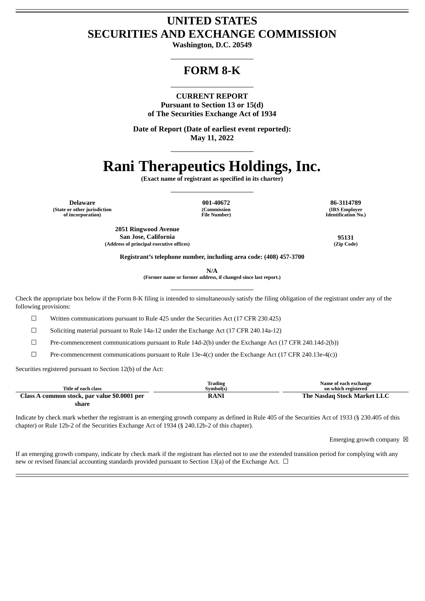# **UNITED STATES SECURITIES AND EXCHANGE COMMISSION**

**Washington, D.C. 20549**

# **FORM 8-K**

**CURRENT REPORT Pursuant to Section 13 or 15(d) of The Securities Exchange Act of 1934**

**Date of Report (Date of earliest event reported): May 11, 2022**

# **Rani Therapeutics Holdings, Inc.**

**(Exact name of registrant as specified in its charter)**

**Delaware 001-40672 86-3114789 (State or other jurisdiction of incorporation)**

**(Commission File Number)**

**(IRS Employer Identification No.)**

**2051 Ringwood Avenue San Jose, California 95131 (Address of principal executive offices) (Zip Code)**

**Registrant's telephone number, including area code: (408) 457-3700**

**N/A**

**(Former name or former address, if changed since last report.)**

Check the appropriate box below if the Form 8-K filing is intended to simultaneously satisfy the filing obligation of the registrant under any of the following provisions:

 $\Box$  Written communications pursuant to Rule 425 under the Securities Act (17 CFR 230.425)

☐ Soliciting material pursuant to Rule 14a-12 under the Exchange Act (17 CFR 240.14a-12)

 $\Box$  Pre-commencement communications pursuant to Rule 14d-2(b) under the Exchange Act (17 CFR 240.14d-2(b))

☐ Pre-commencement communications pursuant to Rule 13e-4(c) under the Exchange Act (17 CFR 240.13e-4(c))

Securities registered pursuant to Section 12(b) of the Act:

|                                              | Trading   | Name of each exchange       |
|----------------------------------------------|-----------|-----------------------------|
| Title of each class                          | Symbol(s) | on which registered         |
| Class A common stock, par value \$0.0001 per | RANI      | The Nasdag Stock Market LLC |
| share                                        |           |                             |

Indicate by check mark whether the registrant is an emerging growth company as defined in Rule 405 of the Securities Act of 1933 (§ 230.405 of this chapter) or Rule 12b-2 of the Securities Exchange Act of 1934 (§ 240.12b-2 of this chapter).

Emerging growth company  $\boxtimes$ 

If an emerging growth company, indicate by check mark if the registrant has elected not to use the extended transition period for complying with any new or revised financial accounting standards provided pursuant to Section 13(a) of the Exchange Act.  $\Box$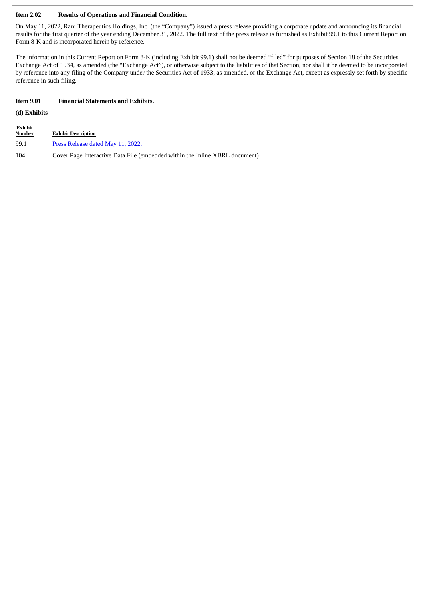## **Item 2.02 Results of Operations and Financial Condition.**

On May 11, 2022, Rani Therapeutics Holdings, Inc. (the "Company") issued a press release providing a corporate update and announcing its financial results for the first quarter of the year ending December 31, 2022. The full text of the press release is furnished as Exhibit 99.1 to this Current Report on Form 8-K and is incorporated herein by reference.

The information in this Current Report on Form 8-K (including Exhibit 99.1) shall not be deemed "filed" for purposes of Section 18 of the Securities Exchange Act of 1934, as amended (the "Exchange Act"), or otherwise subject to the liabilities of that Section, nor shall it be deemed to be incorporated by reference into any filing of the Company under the Securities Act of 1933, as amended, or the Exchange Act, except as expressly set forth by specific reference in such filing.

## **Item 9.01 Financial Statements and Exhibits.**

# **(d) Exhibits**

**Exhibit**

| ---------<br><u>Number</u> | <b>Exhibit Description</b>                                                  |
|----------------------------|-----------------------------------------------------------------------------|
| 99.1                       | Press Release dated May 11, 2022.                                           |
| 104                        | Cover Page Interactive Data File (embedded within the Inline XBRL document) |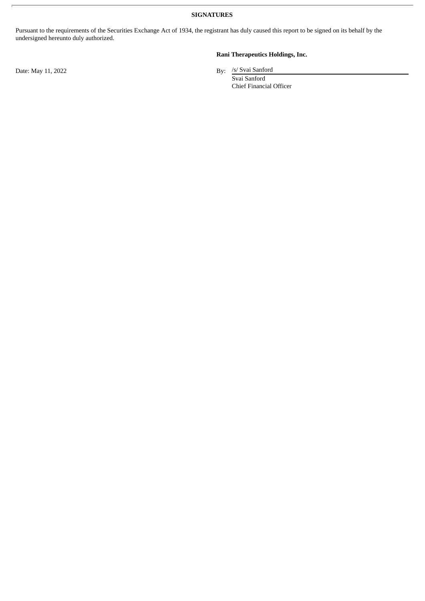**SIGNATURES**

Pursuant to the requirements of the Securities Exchange Act of 1934, the registrant has duly caused this report to be signed on its behalf by the undersigned hereunto duly authorized.

**Rani Therapeutics Holdings, Inc.**

By: /s/ Svai Sanford

Svai Sanford Chief Financial Officer

Date: May 11, 2022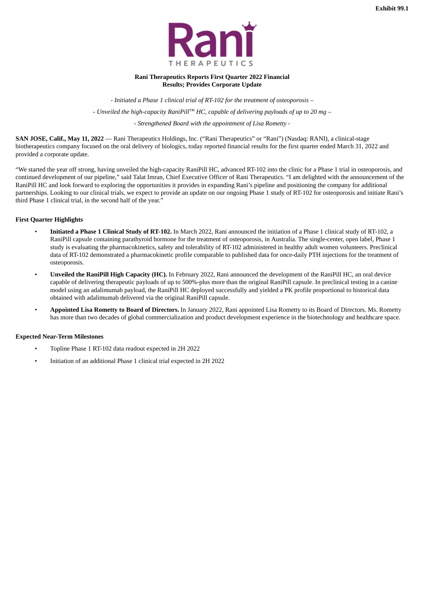

#### **Rani Therapeutics Reports First Quarter 2022 Financial Results; Provides Corporate Update**

<span id="page-3-0"></span>*- Initiated a Phase 1 clinical trial of RT-102 for the treatment of osteoporosis – - Unveiled the high-capacity RaniPill™ HC, capable of delivering payloads of up to 20 mg – - Strengthened Board with the appointment of Lisa Rometty -*

**SAN JOSE, Calif., May 11, 2022** — Rani Therapeutics Holdings, Inc. ("Rani Therapeutics" or "Rani") (Nasdaq: RANI), a clinical-stage biotherapeutics company focused on the oral delivery of biologics, today reported financial results for the first quarter ended March 31, 2022 and provided a corporate update.

"We started the year off strong, having unveiled the high-capacity RaniPill HC, advanced RT-102 into the clinic for a Phase 1 trial in osteoporosis, and continued development of our pipeline," said Talat Imran, Chief Executive Officer of Rani Therapeutics. "I am delighted with the announcement of the RaniPill HC and look forward to exploring the opportunities it provides in expanding Rani's pipeline and positioning the company for additional partnerships. Looking to our clinical trials, we expect to provide an update on our ongoing Phase 1 study of RT-102 for osteoporosis and initiate Rani's third Phase 1 clinical trial, in the second half of the year."

# **First Quarter Highlights**

- **Initiated a Phase 1 Clinical Study of RT-102.** In March 2022, Rani announced the initiation of a Phase 1 clinical study of RT-102, a RaniPill capsule containing parathyroid hormone for the treatment of osteoporosis, in Australia. The single-center, open label, Phase 1 study is evaluating the pharmacokinetics, safety and tolerability of RT-102 administered in healthy adult women volunteers. Preclinical data of RT-102 demonstrated a pharmacokinetic profile comparable to published data for once-daily PTH injections for the treatment of osteoporosis.
- **Unveiled the RaniPill High Capacity (HC).** In February 2022, Rani announced the development of the RaniPill HC, an oral device capable of delivering therapeutic payloads of up to 500%-plus more than the original RaniPill capsule. In preclinical testing in a canine model using an adalimumab payload, the RaniPill HC deployed successfully and yielded a PK profile proportional to historical data obtained with adalimumab delivered via the original RaniPill capsule.
- **Appointed Lisa Rometty to Board of Directors.** In January 2022, Rani appointed Lisa Rometty to its Board of Directors. Ms. Rometty has more than two decades of global commercialization and product development experience in the biotechnology and healthcare space.

# **Expected Near-Term Milestones**

- Topline Phase 1 RT-102 data readout expected in 2H 2022
- Initiation of an additional Phase 1 clinical trial expected in 2H 2022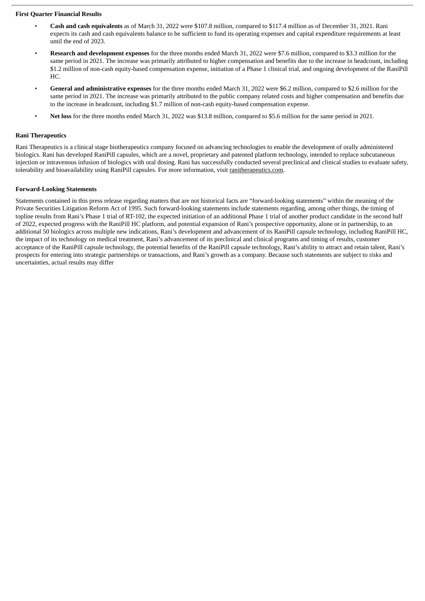### **First Quarter Financial Results**

- **Cash and cash equivalents** as of March 31, 2022 were \$107.8 million, compared to \$117.4 million as of December 31, 2021. Rani expects its cash and cash equivalents balance to be sufficient to fund its operating expenses and capital expenditure requirements at least until the end of 2023.
- **Research and development expenses** for the three months ended March 31, 2022 were \$7.6 million, compared to \$3.3 million for the same period in 2021. The increase was primarily attributed to higher compensation and benefits due to the increase in headcount, including \$1.2 million of non-cash equity-based compensation expense, initiation of a Phase 1 clinical trial, and ongoing development of the RaniPill HC.
- **General and administrative expenses** for the three months ended March 31, 2022 were \$6.2 million, compared to \$2.6 million for the same period in 2021. The increase was primarily attributed to the public company related costs and higher compensation and benefits due to the increase in headcount, including \$1.7 million of non-cash equity-based compensation expense.
- **Net loss** for the three months ended March 31, 2022 was \$13.8 million, compared to \$5.6 million for the same period in 2021.

### **Rani Therapeutics**

Rani Therapeutics is a clinical stage biotherapeutics company focused on advancing technologies to enable the development of orally administered biologics. Rani has developed RaniPill capsules, which are a novel, proprietary and patented platform technology, intended to replace subcutaneous injection or intravenous infusion of biologics with oral dosing. Rani has successfully conducted several preclinical and clinical studies to evaluate safety, tolerability and bioavailability using RaniPill capsules. For more information, visit ranitherapeutics.com.

#### **Forward-Looking Statements**

Statements contained in this press release regarding matters that are not historical facts are "forward-looking statements" within the meaning of the Private Securities Litigation Reform Act of 1995. Such forward-looking statements include statements regarding, among other things, the timing of topline results from Rani's Phase 1 trial of RT-102, the expected initiation of an additional Phase 1 trial of another product candidate in the second half of 2022, expected progress with the RaniPill HC platform, and potential expansion of Rani's prospective opportunity, alone or in partnership, to an additional 50 biologics across multiple new indications, Rani's development and advancement of its RaniPill capsule technology, including RaniPill HC, the impact of its technology on medical treatment, Rani's advancement of its preclinical and clinical programs and timing of results, customer acceptance of the RaniPill capsule technology, the potential benefits of the RaniPill capsule technology, Rani's ability to attract and retain talent, Rani's prospects for entering into strategic partnerships or transactions, and Rani's growth as a company. Because such statements are subject to risks and uncertainties, actual results may differ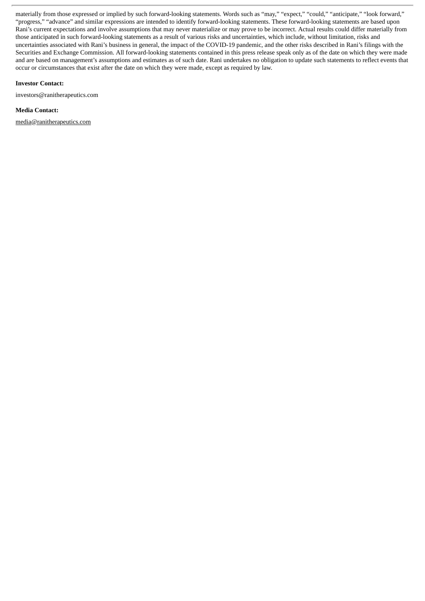materially from those expressed or implied by such forward-looking statements. Words such as "may," "expect," "could," "anticipate," "look forward," "progress," "advance" and similar expressions are intended to identify forward-looking statements. These forward-looking statements are based upon Rani's current expectations and involve assumptions that may never materialize or may prove to be incorrect. Actual results could differ materially from those anticipated in such forward-looking statements as a result of various risks and uncertainties, which include, without limitation, risks and uncertainties associated with Rani's business in general, the impact of the COVID-19 pandemic, and the other risks described in Rani's filings with the Securities and Exchange Commission. All forward-looking statements contained in this press release speak only as of the date on which they were made and are based on management's assumptions and estimates as of such date. Rani undertakes no obligation to update such statements to reflect events that occur or circumstances that exist after the date on which they were made, except as required by law.

#### **Investor Contact:**

investors@ranitherapeutics.com

### **Media Contact:**

media@ranitherapeutics.com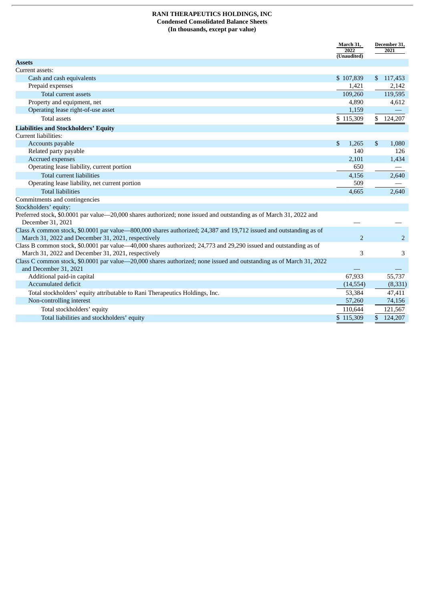# **RANI THERAPEUTICS HOLDINGS, INC Condensed Consolidated Balance Sheets (In thousands, except par value)**

|                                                                                                                                         | March 31,<br>2022 | December 31,<br>2021 |  |
|-----------------------------------------------------------------------------------------------------------------------------------------|-------------------|----------------------|--|
|                                                                                                                                         | (Unaudited)       |                      |  |
| <b>Assets</b>                                                                                                                           |                   |                      |  |
| Current assets:                                                                                                                         |                   |                      |  |
| Cash and cash equivalents                                                                                                               | \$107,839         | \$117,453            |  |
| Prepaid expenses                                                                                                                        | 1,421             | 2,142                |  |
| Total current assets                                                                                                                    | 109,260           | 119,595              |  |
| Property and equipment, net                                                                                                             | 4,890             | 4,612                |  |
| Operating lease right-of-use asset                                                                                                      | 1,159             |                      |  |
| <b>Total assets</b>                                                                                                                     | \$115,309         | \$124,207            |  |
| <b>Liabilities and Stockholders' Equity</b>                                                                                             |                   |                      |  |
| Current liabilities:                                                                                                                    |                   |                      |  |
| Accounts payable                                                                                                                        | \$<br>1,265       | \$<br>1,080          |  |
| Related party payable                                                                                                                   | 140               | 126                  |  |
| Accrued expenses                                                                                                                        | 2,101             | 1,434                |  |
| Operating lease liability, current portion                                                                                              | 650               |                      |  |
| <b>Total current liabilities</b>                                                                                                        | 4,156             | 2,640                |  |
| Operating lease liability, net current portion                                                                                          | 509               |                      |  |
| <b>Total liabilities</b>                                                                                                                | 4,665             | 2,640                |  |
| Commitments and contingencies                                                                                                           |                   |                      |  |
| Stockholders' equity:                                                                                                                   |                   |                      |  |
| Preferred stock, \$0.0001 par value—20,000 shares authorized; none issued and outstanding as of March 31, 2022 and<br>December 31, 2021 |                   |                      |  |
| Class A common stock, \$0.0001 par value—800,000 shares authorized; 24,387 and 19,712 issued and outstanding as of                      |                   |                      |  |
| March 31, 2022 and December 31, 2021, respectively                                                                                      | 2                 | 2                    |  |
| Class B common stock, \$0.0001 par value—40,000 shares authorized; 24,773 and 29,290 issued and outstanding as of                       |                   |                      |  |
| March 31, 2022 and December 31, 2021, respectively                                                                                      | 3                 | 3                    |  |
| Class C common stock, \$0.0001 par value—20,000 shares authorized; none issued and outstanding as of March 31, 2022                     |                   |                      |  |
| and December 31, 2021                                                                                                                   |                   |                      |  |
| Additional paid-in capital                                                                                                              | 67,933            | 55,737               |  |
| <b>Accumulated deficit</b>                                                                                                              | (14, 554)         | (8, 331)             |  |
| Total stockholders' equity attributable to Rani Therapeutics Holdings, Inc.                                                             | 53,384            | 47,411               |  |
| Non-controlling interest                                                                                                                | 57,260            | 74,156               |  |
| Total stockholders' equity                                                                                                              | 110,644           | 121,567              |  |
| Total liabilities and stockholders' equity                                                                                              | \$115,309         | \$124,207            |  |